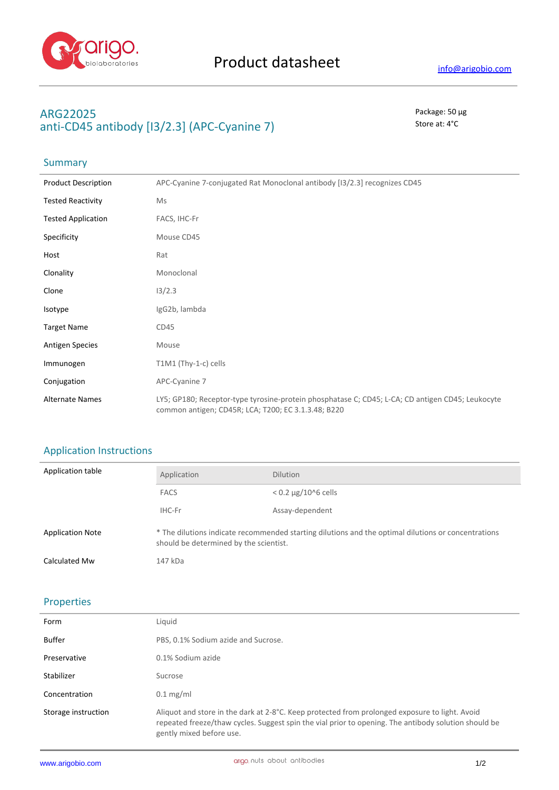

# **ARG22025** Package: 50 μg anti-CD45 antibody [I3/2.3] (APC-Cyanine 7) Store at: 4<sup>°</sup>C

## Summary

| <b>Product Description</b> | APC-Cyanine 7-conjugated Rat Monoclonal antibody [13/2.3] recognizes CD45                                                                               |
|----------------------------|---------------------------------------------------------------------------------------------------------------------------------------------------------|
| <b>Tested Reactivity</b>   | Ms                                                                                                                                                      |
| <b>Tested Application</b>  | FACS, IHC-Fr                                                                                                                                            |
| Specificity                | Mouse CD45                                                                                                                                              |
| Host                       | Rat                                                                                                                                                     |
| Clonality                  | Monoclonal                                                                                                                                              |
| Clone                      | 13/2.3                                                                                                                                                  |
| Isotype                    | IgG2b, lambda                                                                                                                                           |
| <b>Target Name</b>         | CD45                                                                                                                                                    |
| <b>Antigen Species</b>     | Mouse                                                                                                                                                   |
| Immunogen                  | T1M1 (Thy-1-c) cells                                                                                                                                    |
| Conjugation                | APC-Cyanine 7                                                                                                                                           |
| <b>Alternate Names</b>     | LY5; GP180; Receptor-type tyrosine-protein phosphatase C; CD45; L-CA; CD antigen CD45; Leukocyte<br>common antigen; CD45R; LCA; T200; EC 3.1.3.48; B220 |

## Application Instructions

| <b>Application table</b> | Application                                                                                                                                   | <b>Dilution</b>              |
|--------------------------|-----------------------------------------------------------------------------------------------------------------------------------------------|------------------------------|
|                          | <b>FACS</b>                                                                                                                                   | $< 0.2 \mu g / 10^{6}$ cells |
|                          | IHC-Fr                                                                                                                                        | Assay-dependent              |
| <b>Application Note</b>  | * The dilutions indicate recommended starting dilutions and the optimal dilutions or concentrations<br>should be determined by the scientist. |                              |
| Calculated Mw            | 147 kDa                                                                                                                                       |                              |

## Properties

| Form                | Liquid                                                                                                                                                                                                                             |
|---------------------|------------------------------------------------------------------------------------------------------------------------------------------------------------------------------------------------------------------------------------|
| <b>Buffer</b>       | PBS, 0.1% Sodium azide and Sucrose.                                                                                                                                                                                                |
| Preservative        | 0.1% Sodium azide                                                                                                                                                                                                                  |
| Stabilizer          | Sucrose                                                                                                                                                                                                                            |
| Concentration       | $0.1 \text{ mg/ml}$                                                                                                                                                                                                                |
| Storage instruction | Aliquot and store in the dark at 2-8°C. Keep protected from prolonged exposure to light. Avoid<br>repeated freeze/thaw cycles. Suggest spin the vial prior to opening. The antibody solution should be<br>gently mixed before use. |